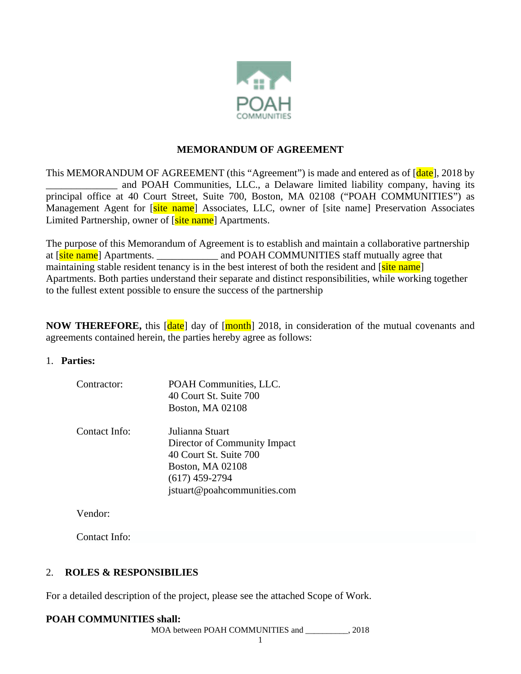

#### **MEMORANDUM OF AGREEMENT**

This MEMORANDUM OF AGREEMENT (this "Agreement") is made and entered as of  $\lceil \frac{\text{date}}{\text{date}} \rceil$ , 2018 by \_\_\_\_\_\_\_\_\_\_\_\_\_\_ and POAH Communities, LLC., a Delaware limited liability company, having its principal office at 40 Court Street, Suite 700, Boston, MA 02108 ("POAH COMMUNITIES") as Management Agent for [site name] Associates, LLC, owner of [site name] Preservation Associates Limited Partnership, owner of [site name] Apartments.

The purpose of this Memorandum of Agreement is to establish and maintain a collaborative partnership at [site name] Apartments. \_\_\_\_\_\_\_\_\_\_\_\_\_\_\_ and POAH COMMUNITIES staff mutually agree that maintaining stable resident tenancy is in the best interest of both the resident and [site name] Apartments. Both parties understand their separate and distinct responsibilities, while working together to the fullest extent possible to ensure the success of the partnership

**NOW THEREFORE,** this [date] day of [month] 2018, in consideration of the mutual covenants and agreements contained herein, the parties hereby agree as follows:

#### 1. **Parties:**

| Contractor:   | POAH Communities, LLC.<br>40 Court St. Suite 700<br><b>Boston, MA 02108</b>                                                                             |
|---------------|---------------------------------------------------------------------------------------------------------------------------------------------------------|
| Contact Info: | Julianna Stuart<br>Director of Community Impact<br>40 Court St. Suite 700<br><b>Boston, MA 02108</b><br>$(617)$ 459-2794<br>jstuart@poahcommunities.com |

Vendor:

Contact Info:

## 2. **ROLES & RESPONSIBILIES**

For a detailed description of the project, please see the attached Scope of Work.

## **POAH COMMUNITIES shall:**

MOA between POAH COMMUNITIES and \_\_\_\_\_\_\_\_\_\_, 2018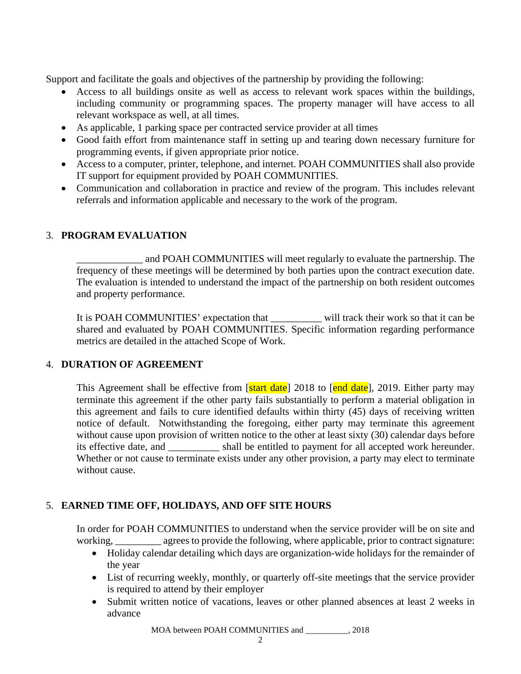Support and facilitate the goals and objectives of the partnership by providing the following:

- Access to all buildings onsite as well as access to relevant work spaces within the buildings, including community or programming spaces. The property manager will have access to all relevant workspace as well, at all times.
- As applicable, 1 parking space per contracted service provider at all times
- Good faith effort from maintenance staff in setting up and tearing down necessary furniture for programming events, if given appropriate prior notice.
- Access to a computer, printer, telephone, and internet. POAH COMMUNITIES shall also provide IT support for equipment provided by POAH COMMUNITIES.
- Communication and collaboration in practice and review of the program. This includes relevant referrals and information applicable and necessary to the work of the program.

## 3. **PROGRAM EVALUATION**

\_\_\_\_\_\_\_\_\_\_\_\_\_ and POAH COMMUNITIES will meet regularly to evaluate the partnership. The frequency of these meetings will be determined by both parties upon the contract execution date. The evaluation is intended to understand the impact of the partnership on both resident outcomes and property performance.

It is POAH COMMUNITIES' expectation that \_\_\_\_\_\_\_\_\_\_ will track their work so that it can be shared and evaluated by POAH COMMUNITIES. Specific information regarding performance metrics are detailed in the attached Scope of Work.

#### 4. **DURATION OF AGREEMENT**

This Agreement shall be effective from [start date] 2018 to [end date], 2019. Either party may terminate this agreement if the other party fails substantially to perform a material obligation in this agreement and fails to cure identified defaults within thirty (45) days of receiving written notice of default. Notwithstanding the foregoing, either party may terminate this agreement without cause upon provision of written notice to the other at least sixty (30) calendar days before its effective date, and \_\_\_\_\_\_\_\_\_\_ shall be entitled to payment for all accepted work hereunder. Whether or not cause to terminate exists under any other provision, a party may elect to terminate without cause.

## 5. **EARNED TIME OFF, HOLIDAYS, AND OFF SITE HOURS**

In order for POAH COMMUNITIES to understand when the service provider will be on site and working, agrees to provide the following, where applicable, prior to contract signature:

- Holiday calendar detailing which days are organization-wide holidays for the remainder of the year
- List of recurring weekly, monthly, or quarterly off-site meetings that the service provider is required to attend by their employer
- Submit written notice of vacations, leaves or other planned absences at least 2 weeks in advance

MOA between POAH COMMUNITIES and \_\_\_\_\_\_\_\_\_\_, 2018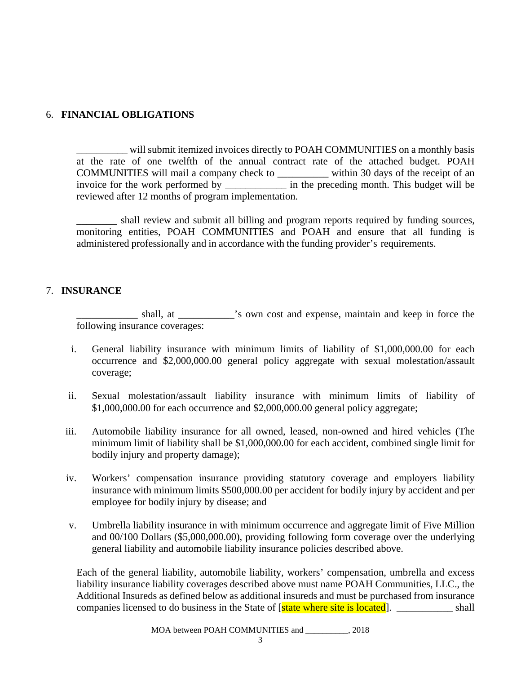## 6. **FINANCIAL OBLIGATIONS**

\_\_\_\_\_\_\_\_\_\_ will submit itemized invoices directly to POAH COMMUNITIES on a monthly basis at the rate of one twelfth of the annual contract rate of the attached budget. POAH COMMUNITIES will mail a company check to \_\_\_\_\_\_\_\_\_\_ within 30 days of the receipt of an invoice for the work performed by \_\_\_\_\_\_\_\_\_\_\_\_ in the preceding month. This budget will be reviewed after 12 months of program implementation.

\_\_\_\_\_\_\_\_ shall review and submit all billing and program reports required by funding sources, monitoring entities, POAH COMMUNITIES and POAH and ensure that all funding is administered professionally and in accordance with the funding provider's requirements.

#### 7. **INSURANCE**

shall, at  $\cdot$  is own cost and expense, maintain and keep in force the following insurance coverages:

- i. General liability insurance with minimum limits of liability of \$1,000,000.00 for each occurrence and \$2,000,000.00 general policy aggregate with sexual molestation/assault coverage;
- ii. Sexual molestation/assault liability insurance with minimum limits of liability of \$1,000,000.00 for each occurrence and \$2,000,000.00 general policy aggregate;
- iii. Automobile liability insurance for all owned, leased, non-owned and hired vehicles (The minimum limit of liability shall be \$1,000,000.00 for each accident, combined single limit for bodily injury and property damage);
- iv. Workers' compensation insurance providing statutory coverage and employers liability insurance with minimum limits \$500,000.00 per accident for bodily injury by accident and per employee for bodily injury by disease; and
- v. Umbrella liability insurance in with minimum occurrence and aggregate limit of Five Million and 00/100 Dollars (\$5,000,000.00), providing following form coverage over the underlying general liability and automobile liability insurance policies described above.

Each of the general liability, automobile liability, workers' compensation, umbrella and excess liability insurance liability coverages described above must name POAH Communities, LLC., the Additional Insureds as defined below as additional insureds and must be purchased from insurance companies licensed to do business in the State of [state where site is located]. \_\_\_\_\_\_\_\_\_\_ shall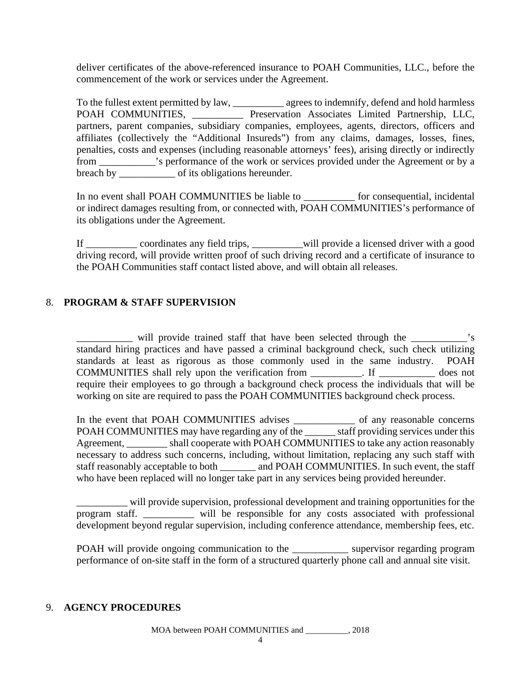deliver certificates of the above-referenced insurance to POAH Communities, LLC., before the commencement of the work or services under the Agreement.

To the fullest extent permitted by law, \_\_\_\_\_\_\_\_\_\_ agrees to indemnify, defend and hold harmless POAH COMMUNITIES, \_\_\_\_\_\_\_\_\_\_ Preservation Associates Limited Partnership, LLC, partners, parent companies, subsidiary companies, employees, agents, directors, officers and affiliates (collectively the "Additional Insureds") from any claims, damages, losses, fines, penalties, costs and expenses (including reasonable attorneys' fees), arising directly or indirectly from \_\_\_\_\_\_\_\_\_\_\_'s performance of the work or services provided under the Agreement or by a breach by \_\_\_\_\_\_\_\_\_\_\_\_\_\_\_\_\_ of its obligations hereunder.

In no event shall POAH COMMUNITIES be liable to \_\_\_\_\_\_\_\_\_\_ for consequential, incidental or indirect damages resulting from, or connected with, POAH COMMUNITIES's performance of its obligations under the Agreement.

If \_\_\_\_\_\_\_\_\_\_ coordinates any field trips, \_\_\_\_\_\_\_\_\_\_will provide a licensed driver with a good driving record, will provide written proof of such driving record and a certificate of insurance to the POAH Communities staff contact listed above, and will obtain all releases.

## 8. **PROGRAM & STAFF SUPERVISION**

will provide trained staff that have been selected through the  $\cdot$ 's standard hiring practices and have passed a criminal background check, such check utilizing standards at least as rigorous as those commonly used in the same industry. POAH COMMUNITIES shall rely upon the verification from \_\_\_\_\_\_\_\_\_\_. If \_\_\_\_\_\_\_\_\_\_\_ does not require their employees to go through a background check process the individuals that will be working on site are required to pass the POAH COMMUNITIES background check process.

In the event that POAH COMMUNITIES advises \_\_\_\_\_\_\_\_\_\_\_\_ of any reasonable concerns POAH COMMUNITIES may have regarding any of the \_\_\_\_\_\_ staff providing services under this Agreement, shall cooperate with POAH COMMUNITIES to take any action reasonably necessary to address such concerns, including, without limitation, replacing any such staff with staff reasonably acceptable to both and POAH COMMUNITIES. In such event, the staff who have been replaced will no longer take part in any services being provided hereunder.

\_\_\_\_\_\_\_\_\_\_ will provide supervision, professional development and training opportunities for the program staff. \_\_\_\_\_\_\_\_\_\_ will be responsible for any costs associated with professional development beyond regular supervision, including conference attendance, membership fees, etc.

POAH will provide ongoing communication to the supervisor regarding program performance of on-site staff in the form of a structured quarterly phone call and annual site visit.

#### 9. **AGENCY PROCEDURES**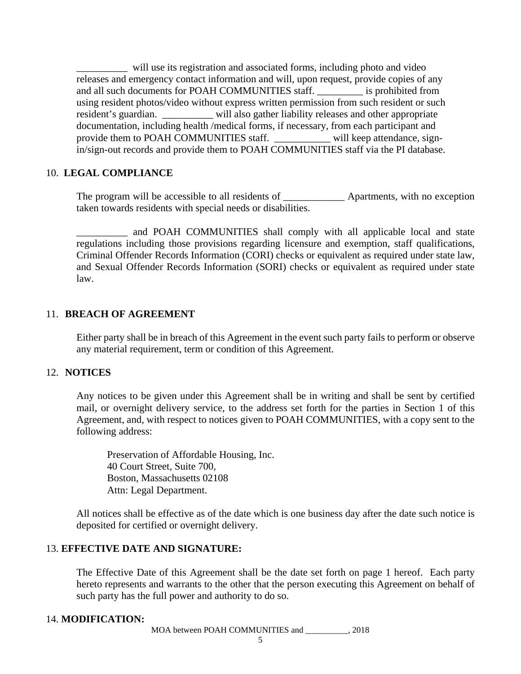will use its registration and associated forms, including photo and video releases and emergency contact information and will, upon request, provide copies of any and all such documents for POAH COMMUNITIES staff. \_\_\_\_\_\_\_\_\_ is prohibited from using resident photos/video without express written permission from such resident or such resident's guardian. \_\_\_\_\_\_\_\_\_\_ will also gather liability releases and other appropriate documentation, including health /medical forms, if necessary, from each participant and provide them to POAH COMMUNITIES staff. \_\_\_\_\_\_\_\_\_\_\_ will keep attendance, signin/sign-out records and provide them to POAH COMMUNITIES staff via the PI database.

#### 10. **LEGAL COMPLIANCE**

The program will be accessible to all residents of \_\_\_\_\_\_\_\_\_\_\_\_\_\_ Apartments, with no exception taken towards residents with special needs or disabilities.

\_\_\_\_\_\_\_\_\_\_ and POAH COMMUNITIES shall comply with all applicable local and state regulations including those provisions regarding licensure and exemption, staff qualifications, Criminal Offender Records Information (CORI) checks or equivalent as required under state law, and Sexual Offender Records Information (SORI) checks or equivalent as required under state law.

#### 11. **BREACH OF AGREEMENT**

Either party shall be in breach of this Agreement in the event such party fails to perform or observe any material requirement, term or condition of this Agreement.

#### 12. **NOTICES**

Any notices to be given under this Agreement shall be in writing and shall be sent by certified mail, or overnight delivery service, to the address set forth for the parties in Section 1 of this Agreement, and, with respect to notices given to POAH COMMUNITIES, with a copy sent to the following address:

Preservation of Affordable Housing, Inc. 40 Court Street, Suite 700, Boston, Massachusetts 02108 Attn: Legal Department.

All notices shall be effective as of the date which is one business day after the date such notice is deposited for certified or overnight delivery.

#### 13. **EFFECTIVE DATE AND SIGNATURE:**

The Effective Date of this Agreement shall be the date set forth on page 1 hereof. Each party hereto represents and warrants to the other that the person executing this Agreement on behalf of such party has the full power and authority to do so.

#### 14. **MODIFICATION:**

MOA between POAH COMMUNITIES and \_\_\_\_\_\_\_\_\_\_, 2018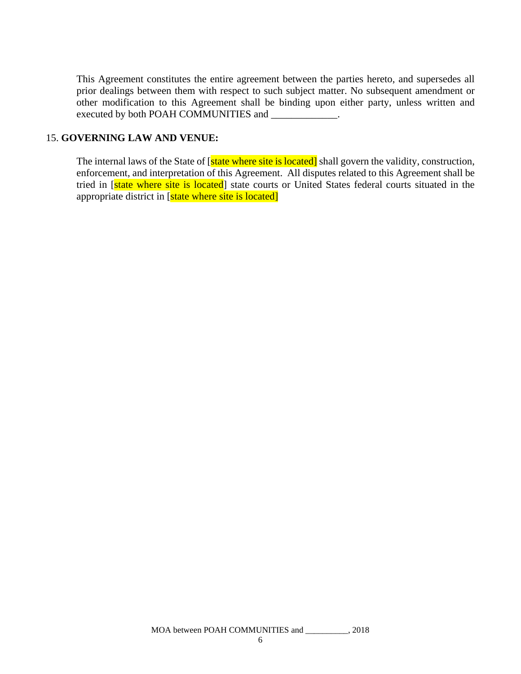This Agreement constitutes the entire agreement between the parties hereto, and supersedes all prior dealings between them with respect to such subject matter. No subsequent amendment or other modification to this Agreement shall be binding upon either party, unless written and executed by both POAH COMMUNITIES and

#### 15. **GOVERNING LAW AND VENUE:**

The internal laws of the State of [state where site is located] shall govern the validity, construction, enforcement, and interpretation of this Agreement. All disputes related to this Agreement shall be tried in [state where site is located] state courts or United States federal courts situated in the appropriate district in [state where site is located]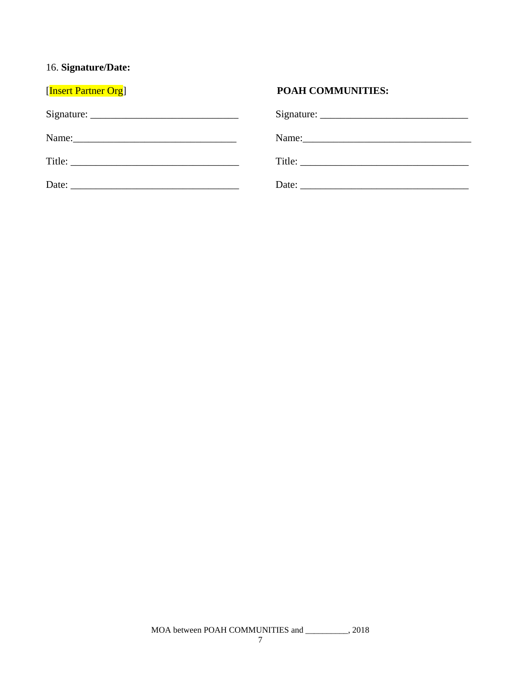# 16. **Signature/Date:**

| [Insert Partner Org]                                                                                                                                                                                                          | <b>POAH COMMUNITIES:</b> |
|-------------------------------------------------------------------------------------------------------------------------------------------------------------------------------------------------------------------------------|--------------------------|
|                                                                                                                                                                                                                               |                          |
| Name: 2008. [2010] Name: 2010 [2010] 2010 [2010] 2010 [2010] 2010 [2010] 2010 [2010] 2010 [2010] 2010 [2010] 2010 [2010] 2010 [2010] 2010 [2010] 2010 [2010] 2010 [2010] 2010 [2010] 2010 [2010] 2010 [2010] 2010 [2010] 2010 | Name:                    |
|                                                                                                                                                                                                                               |                          |
|                                                                                                                                                                                                                               |                          |